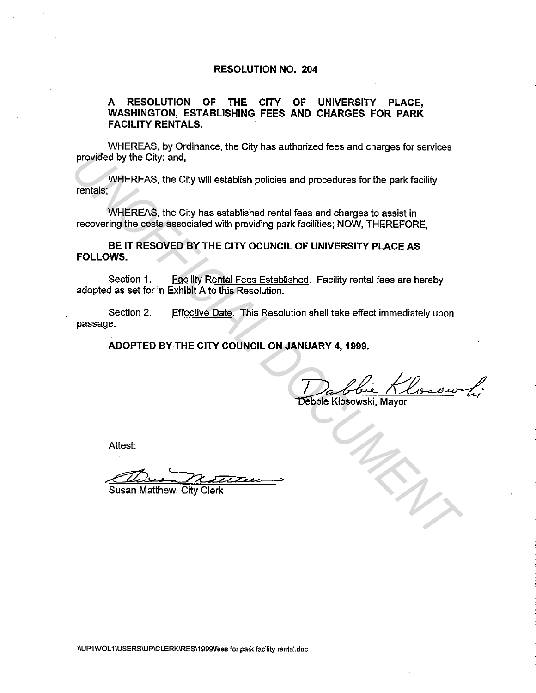### **RESOLUTION NO. 204**

# **A RESOLUTION OF THE CITY OF UNIVERSITY PLACE, WASHINGTON, ESTABLISHING FEES AND CHARGES FOR PARK FACILITY RENTALS.**

WHEREAS, by Ordinance, the City has authorized fees and charges for services provided by the City: and,

WHEREAS, the City will establish policies and procedures for the park facility rentals;

WHEREAS, the City has established rental fees and charges to assist in recovering the costs associated with providing park facilities; NOW, THEREFORE,

**BE IT RESOVED BY THE CITY OCUNCIL OF UNIVERSITY PLACE AS FOLLOWS.** 

Section 1. Facility Rental Fees Established. Facility rental fees are hereby adopted as set for in Exhibit A to this Resolution.

Section 2. passage. Effective Date. This Resolution shall take effect immediately upon **UNDEREAS, the City and,**<br>
WHEREAS, the City will establish policies and procedures for the park facility<br>
rendals;<br>
WHEREAS, the City has established rental fees and charges to assist in<br>
recovering the costs associated w

**ADOPTED BY THE CITY COUNCIL ON JANUARY 4, 1999.** 

Debbie Klosowski, Mayor

Attest:

Chain natters .,

Susan Matthew, City Clerk

\IUP1\VOL 1\USERSIUPICLERKIRES\1999\fees for park facility rental.doc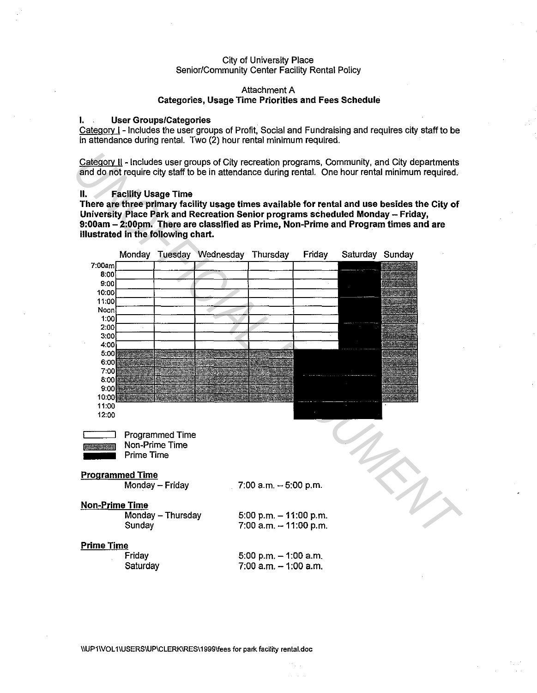#### City of University Place Senior/Community Center Facility Rental Policy

#### Attachment A **Categories, Usage Time Priorities and Fees Schedule**

### **I. User Groups/Categories**

Category I - Includes the user groups of Profit, Social and Fundraising and requires city staff to be in attendance during rental. Two (2) hour rental minimum required.

Category II - Includes user groups of City recreation programs, Community, and City departments and do not require city staff to be in attendance during rental. One hour rental minimum required.

#### **II. Facility Usage Time**

**There are three primary facility usage times available for rental and use besides the City of University Place Park and Recreation Senior programs scheduled Monday - Friday, 9:00am - 2:00pm. There are classified as Prime, Non-Prime and Program times and are illustrated in the following chart.** 



\\UP11VOL 1\USERS\UP\CLERK\RES\1999\fees for park facility rental.doc